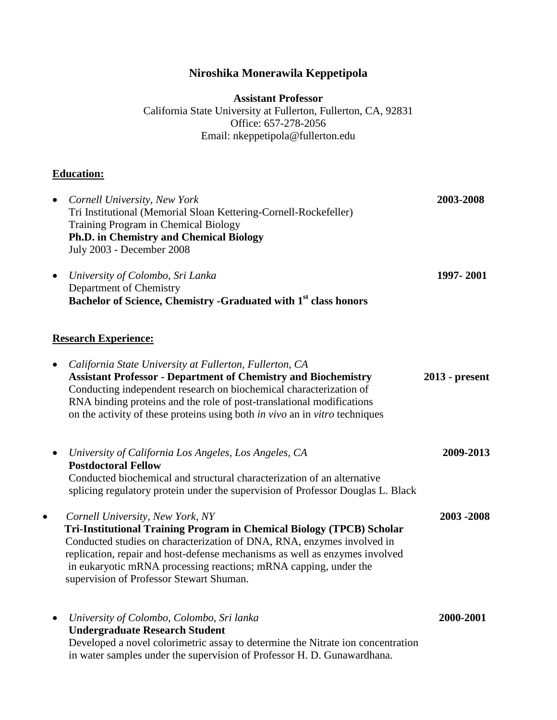## **Niroshika Monerawila Keppetipola**

**Assistant Professor**

California State University at Fullerton, Fullerton, CA, 92831 Office: 657-278-2056 Email: nkeppetipola@fullerton.edu

## **Education:**

| Cornell University, New York<br>$\bullet$<br>Tri Institutional (Memorial Sloan Kettering-Cornell-Rockefeller)<br>Training Program in Chemical Biology<br><b>Ph.D. in Chemistry and Chemical Biology</b><br>July 2003 - December 2008                                                                                                                                                            | 2003-2008      |
|-------------------------------------------------------------------------------------------------------------------------------------------------------------------------------------------------------------------------------------------------------------------------------------------------------------------------------------------------------------------------------------------------|----------------|
| University of Colombo, Sri Lanka<br>Department of Chemistry<br>Bachelor of Science, Chemistry -Graduated with 1 <sup>st</sup> class honors                                                                                                                                                                                                                                                      | 1997-2001      |
| <b>Research Experience:</b>                                                                                                                                                                                                                                                                                                                                                                     |                |
| California State University at Fullerton, Fullerton, CA<br><b>Assistant Professor - Department of Chemistry and Biochemistry</b><br>Conducting independent research on biochemical characterization of<br>RNA binding proteins and the role of post-translational modifications<br>on the activity of these proteins using both in vivo an in vitro techniques                                  | 2013 - present |
| University of California Los Angeles, Los Angeles, CA<br><b>Postdoctoral Fellow</b><br>Conducted biochemical and structural characterization of an alternative<br>splicing regulatory protein under the supervision of Professor Douglas L. Black                                                                                                                                               | 2009-2013      |
| Cornell University, New York, NY<br>$\bullet$<br>Tri-Institutional Training Program in Chemical Biology (TPCB) Scholar<br>Conducted studies on characterization of DNA, RNA, enzymes involved in<br>replication, repair and host-defense mechanisms as well as enzymes involved<br>in eukaryotic mRNA processing reactions; mRNA capping, under the<br>supervision of Professor Stewart Shuman. | 2003-2008      |
| University of Colombo, Colombo, Sri lanka<br><b>Undergraduate Research Student</b><br>Developed a novel colorimetric assay to determine the Nitrate ion concentration<br>in water samples under the supervision of Professor H. D. Gunawardhana.                                                                                                                                                | 2000-2001      |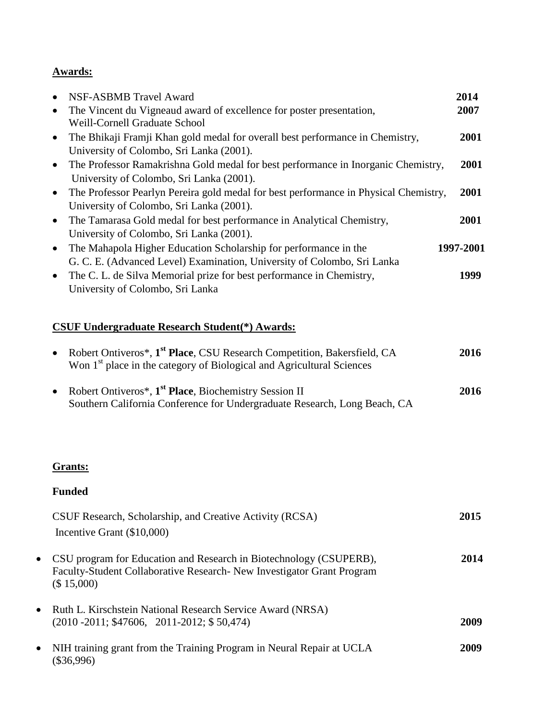## **Awards:**

| $\bullet$ | NSF-ASBMB Travel Award                                                               | 2014      |
|-----------|--------------------------------------------------------------------------------------|-----------|
| $\bullet$ | The Vincent du Vigneaud award of excellence for poster presentation,                 | 2007      |
|           | Weill-Cornell Graduate School                                                        |           |
| $\bullet$ | The Bhikaji Framji Khan gold medal for overall best performance in Chemistry,        | 2001      |
|           | University of Colombo, Sri Lanka (2001).                                             |           |
| $\bullet$ | The Professor Ramakrishna Gold medal for best performance in Inorganic Chemistry,    | 2001      |
|           | University of Colombo, Sri Lanka (2001).                                             |           |
| $\bullet$ | The Professor Pearlyn Pereira gold medal for best performance in Physical Chemistry, | 2001      |
|           | University of Colombo, Sri Lanka (2001).                                             |           |
| $\bullet$ | The Tamarasa Gold medal for best performance in Analytical Chemistry,                | 2001      |
|           | University of Colombo, Sri Lanka (2001).                                             |           |
| $\bullet$ | The Mahapola Higher Education Scholarship for performance in the                     | 1997-2001 |
|           | G. C. E. (Advanced Level) Examination, University of Colombo, Sri Lanka              |           |
| $\bullet$ | The C. L. de Silva Memorial prize for best performance in Chemistry,                 | 1999      |
|           | University of Colombo, Sri Lanka                                                     |           |

# **CSUF Undergraduate Research Student(\*) Awards:**

| • Robert Ontiveros*, 1 <sup>st</sup> Place, CSU Research Competition, Bakersfield, CA<br>Won 1 <sup>st</sup> place in the category of Biological and Agricultural Sciences | 2016 |
|----------------------------------------------------------------------------------------------------------------------------------------------------------------------------|------|
| • Robert Ontiveros*, 1 <sup>st</sup> Place, Biochemistry Session II<br>Southern California Conference for Undergraduate Research, Long Beach, CA                           | 2016 |

## **Grants:**

## **Funded**

| CSUF Research, Scholarship, and Creative Activity (RCSA)                                                                                                   | 2015 |
|------------------------------------------------------------------------------------------------------------------------------------------------------------|------|
| Incentive Grant $(\$10,000)$                                                                                                                               |      |
| CSU program for Education and Research in Biotechnology (CSUPERB),<br>Faculty-Student Collaborative Research- New Investigator Grant Program<br>(\$15,000) | 2014 |
| Ruth L. Kirschstein National Research Service Award (NRSA)<br>$(2010 - 2011; $47606, 2011 - 2012; $50,474)$                                                | 2009 |
| NIH training grant from the Training Program in Neural Repair at UCLA<br>$(\$36.996)$                                                                      | 2009 |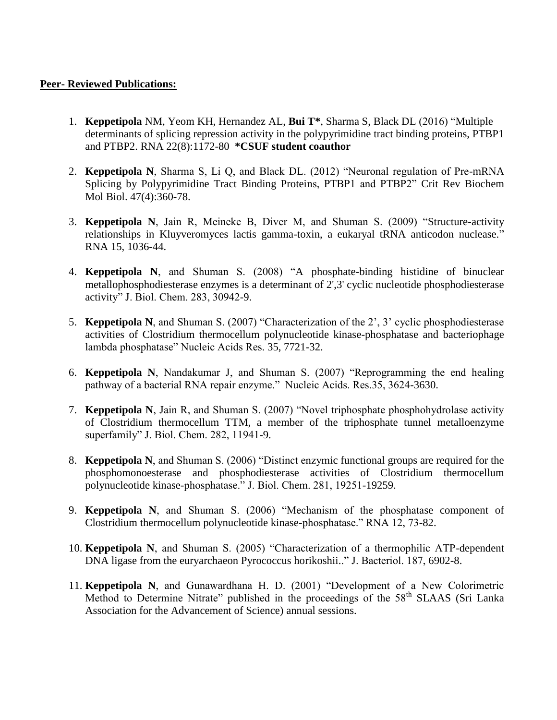#### **Peer- Reviewed Publications:**

- 1. **Keppetipola** NM, Yeom KH, Hernandez AL, **Bui T\***, Sharma S, Black DL (2016) ["Multiple](http://www.ncbi.nlm.nih.gov/pubmed/27288314)  [determinants of splicing repression activity in the](http://www.ncbi.nlm.nih.gov/pubmed/27288314) polypyrimidine tract binding proteins, PTBP1 [and PTBP2.](http://www.ncbi.nlm.nih.gov/pubmed/27288314) RNA 22(8):1172-80 **\*CSUF student coauthor**
- 2. **Keppetipola N**, Sharma S, Li Q, and Black DL. (2012) "Neuronal regulation of Pre-mRNA Splicing by Polypyrimidine Tract Binding Proteins, PTBP1 and PTBP2" Crit Rev Biochem Mol Biol. 47(4):360-78.
- 3. **Keppetipola N**, Jain R, Meineke B, Diver M, and Shuman S. (2009) ["Structure-activity](http://www.ncbi.nlm.nih.gov/pubmed/19383764?ordinalpos=1&itool=EntrezSystem2.PEntrez.Pubmed.Pubmed_ResultsPanel.Pubmed_DefaultReportPanel.Pubmed_RVDocSum)  [relationships in Kluyveromyces lactis gamma-toxin, a eukaryal tRNA anticodon nuclease."](http://www.ncbi.nlm.nih.gov/pubmed/19383764?ordinalpos=1&itool=EntrezSystem2.PEntrez.Pubmed.Pubmed_ResultsPanel.Pubmed_DefaultReportPanel.Pubmed_RVDocSum) RNA 15, 1036-44.
- 4. **Keppetipola N**, and Shuman S. (2008) "A phosphate-binding histidine of binuclear metallophosphodiesterase enzymes is a determinant of 2',3' cyclic nucleotide phosphodiesterase activity" J. Biol. Chem. 283, 30942-9.
- 5. **Keppetipola N**, and Shuman S. (2007) "Characterization of the 2', 3' cyclic phosphodiesterase activities of Clostridium thermocellum polynucleotide kinase-phosphatase and bacteriophage lambda phosphatase" Nucleic Acids Res. 35, 7721-32.
- 6. **Keppetipola N**, Nandakumar J, and Shuman S. (2007) "Reprogramming the end healing pathway of a bacterial RNA repair enzyme." Nucleic Acids. Res.35, 3624-3630.
- 7. **Keppetipola N**, Jain R, and Shuman S. (2007) "Novel triphosphate phosphohydrolase activity of Clostridium thermocellum TTM, a member of the triphosphate tunnel metalloenzyme superfamily" J. Biol. Chem. 282, 11941-9.
- 8. **Keppetipola N**, and Shuman S. (2006) "Distinct enzymic functional groups are required for the phosphomonoesterase and phosphodiesterase activities of Clostridium thermocellum polynucleotide kinase-phosphatase." J. Biol. Chem. 281, 19251-19259.
- 9. **Keppetipola N**, and Shuman S. (2006) "Mechanism of the phosphatase component of Clostridium thermocellum polynucleotide kinase-phosphatase." RNA 12, 73-82.
- 10. **Keppetipola N**, and Shuman S. (2005) "Characterization of a thermophilic ATP-dependent DNA ligase from the euryarchaeon Pyrococcus horikoshii.." J. Bacteriol. 187, 6902-8.
- 11. **Keppetipola N**, and Gunawardhana H. D. (2001) "Development of a New Colorimetric Method to Determine Nitrate" published in the proceedings of the 58<sup>th</sup> SLAAS (Sri Lanka Association for the Advancement of Science) annual sessions.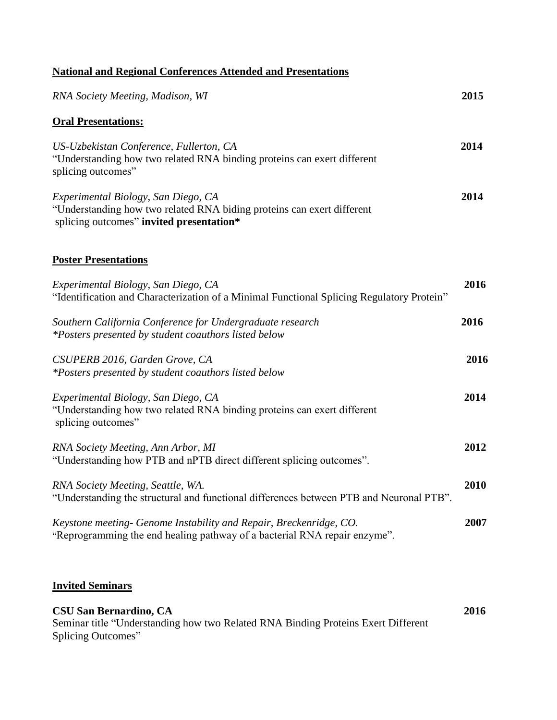|  |  |  |  |  |  |  | <b>National and Regional Conferences Attended and Presentations</b> |
|--|--|--|--|--|--|--|---------------------------------------------------------------------|
|--|--|--|--|--|--|--|---------------------------------------------------------------------|

| 2015 |
|------|
|      |
| 2014 |
| 2014 |
|      |
| 2016 |
| 2016 |
| 2016 |
| 2014 |
| 2012 |
| 2010 |
| 2007 |
|      |

#### **Invited Seminars**

| <b>CSU San Bernardino, CA</b>                                                     | 2016 |
|-----------------------------------------------------------------------------------|------|
| Seminar title "Understanding how two Related RNA Binding Proteins Exert Different |      |
| Splicing Outcomes"                                                                |      |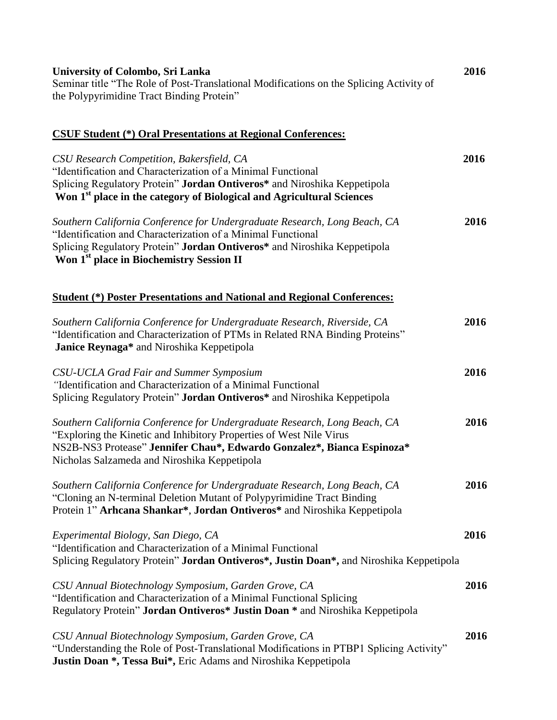| University of Colombo, Sri Lanka<br>Seminar title "The Role of Post-Translational Modifications on the Splicing Activity of<br>the Polypyrimidine Tract Binding Protein"                                                                                                      | 2016 |
|-------------------------------------------------------------------------------------------------------------------------------------------------------------------------------------------------------------------------------------------------------------------------------|------|
| <b>CSUF Student (*) Oral Presentations at Regional Conferences:</b>                                                                                                                                                                                                           |      |
| CSU Research Competition, Bakersfield, CA<br>"Identification and Characterization of a Minimal Functional<br>Splicing Regulatory Protein" Jordan Ontiveros* and Niroshika Keppetipola<br>Won 1 <sup>st</sup> place in the category of Biological and Agricultural Sciences    | 2016 |
| Southern California Conference for Undergraduate Research, Long Beach, CA<br>"Identification and Characterization of a Minimal Functional<br>Splicing Regulatory Protein" Jordan Ontiveros* and Niroshika Keppetipola<br>Won 1 <sup>st</sup> place in Biochemistry Session II | 2016 |
| <b>Student (*) Poster Presentations and National and Regional Conferences:</b>                                                                                                                                                                                                |      |
| Southern California Conference for Undergraduate Research, Riverside, CA<br>"Identification and Characterization of PTMs in Related RNA Binding Proteins"<br>Janice Reynaga* and Niroshika Keppetipola                                                                        | 2016 |
| CSU-UCLA Grad Fair and Summer Symposium<br>"Identification and Characterization of a Minimal Functional<br>Splicing Regulatory Protein" Jordan Ontiveros* and Niroshika Keppetipola                                                                                           | 2016 |
| Southern California Conference for Undergraduate Research, Long Beach, CA<br>"Exploring the Kinetic and Inhibitory Properties of West Nile Virus<br>NS2B-NS3 Protease" Jennifer Chau*, Edwardo Gonzalez*, Bianca Espinoza*<br>Nicholas Salzameda and Niroshika Keppetipola    | 2016 |
| Southern California Conference for Undergraduate Research, Long Beach, CA<br>"Cloning an N-terminal Deletion Mutant of Polypyrimidine Tract Binding<br>Protein 1" Arhcana Shankar*, Jordan Ontiveros* and Niroshika Keppetipola                                               | 2016 |
| Experimental Biology, San Diego, CA<br>"Identification and Characterization of a Minimal Functional<br>Splicing Regulatory Protein" Jordan Ontiveros*, Justin Doan*, and Niroshika Keppetipola                                                                                | 2016 |
| CSU Annual Biotechnology Symposium, Garden Grove, CA<br>"Identification and Characterization of a Minimal Functional Splicing<br>Regulatory Protein" Jordan Ontiveros* Justin Doan * and Niroshika Keppetipola                                                                | 2016 |
| CSU Annual Biotechnology Symposium, Garden Grove, CA<br>"Understanding the Role of Post-Translational Modifications in PTBP1 Splicing Activity"<br>Justin Doan *, Tessa Bui*, Eric Adams and Niroshika Keppetipola                                                            | 2016 |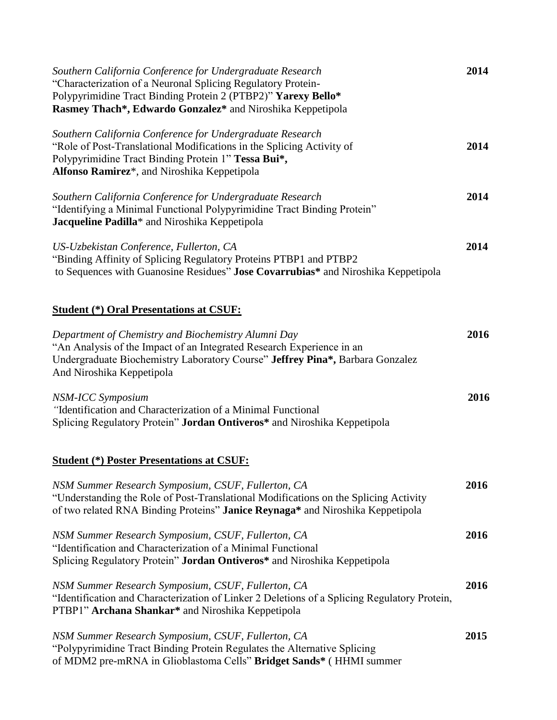| Southern California Conference for Undergraduate Research<br>"Characterization of a Neuronal Splicing Regulatory Protein-<br>Polypyrimidine Tract Binding Protein 2 (PTBP2)" Yarexy Bello*<br>Rasmey Thach*, Edwardo Gonzalez* and Niroshika Keppetipola | 2014 |
|----------------------------------------------------------------------------------------------------------------------------------------------------------------------------------------------------------------------------------------------------------|------|
| Southern California Conference for Undergraduate Research<br>"Role of Post-Translational Modifications in the Splicing Activity of<br>Polypyrimidine Tract Binding Protein 1" Tessa Bui*,<br>Alfonso Ramirez*, and Niroshika Keppetipola                 | 2014 |
| Southern California Conference for Undergraduate Research<br>"Identifying a Minimal Functional Polypyrimidine Tract Binding Protein"<br>Jacqueline Padilla* and Niroshika Keppetipola                                                                    | 2014 |
| US-Uzbekistan Conference, Fullerton, CA<br>"Binding Affinity of Splicing Regulatory Proteins PTBP1 and PTBP2<br>to Sequences with Guanosine Residues" Jose Covarrubias* and Niroshika Keppetipola                                                        | 2014 |
| <b>Student (*) Oral Presentations at CSUF:</b>                                                                                                                                                                                                           |      |
| Department of Chemistry and Biochemistry Alumni Day<br>"An Analysis of the Impact of an Integrated Research Experience in an<br>Undergraduate Biochemistry Laboratory Course" Jeffrey Pina*, Barbara Gonzalez<br>And Niroshika Keppetipola               | 2016 |
| NSM-ICC Symposium<br>"Identification and Characterization of a Minimal Functional<br>Splicing Regulatory Protein" Jordan Ontiveros* and Niroshika Keppetipola                                                                                            | 2016 |
| <b>Student (*) Poster Presentations at CSUF:</b>                                                                                                                                                                                                         |      |
| NSM Summer Research Symposium, CSUF, Fullerton, CA<br>"Understanding the Role of Post-Translational Modifications on the Splicing Activity<br>of two related RNA Binding Proteins" <b>Janice Reynaga</b> * and Niroshika Keppetipola                     | 2016 |
| NSM Summer Research Symposium, CSUF, Fullerton, CA<br>"Identification and Characterization of a Minimal Functional<br>Splicing Regulatory Protein" Jordan Ontiveros* and Niroshika Keppetipola                                                           | 2016 |
| NSM Summer Research Symposium, CSUF, Fullerton, CA<br>"Identification and Characterization of Linker 2 Deletions of a Splicing Regulatory Protein,<br>PTBP1" Archana Shankar* and Niroshika Keppetipola                                                  | 2016 |
| NSM Summer Research Symposium, CSUF, Fullerton, CA<br>"Polypyrimidine Tract Binding Protein Regulates the Alternative Splicing<br>of MDM2 pre-mRNA in Glioblastoma Cells" Bridget Sands* (HHMI summer                                                    | 2015 |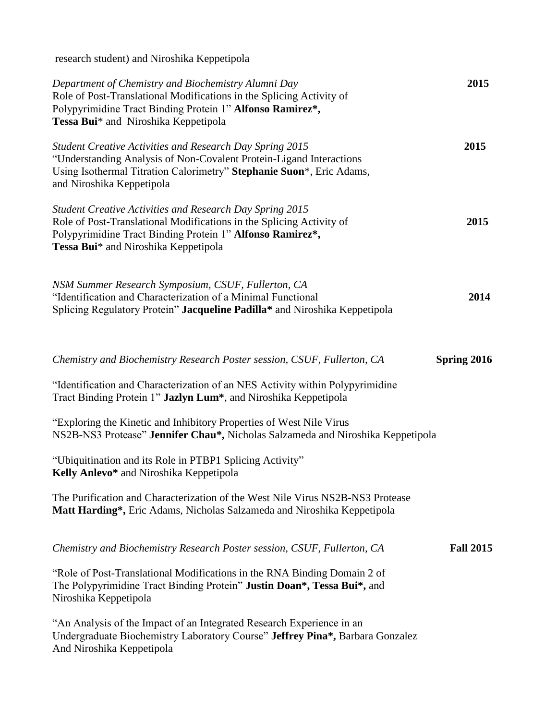research student) and Niroshika Keppetipola

| Department of Chemistry and Biochemistry Alumni Day<br>Role of Post-Translational Modifications in the Splicing Activity of<br>Polypyrimidine Tract Binding Protein 1" Alfonso Ramirez*,<br>Tessa Bui* and Niroshika Keppetipola             | 2015             |
|----------------------------------------------------------------------------------------------------------------------------------------------------------------------------------------------------------------------------------------------|------------------|
| <b>Student Creative Activities and Research Day Spring 2015</b><br>"Understanding Analysis of Non-Covalent Protein-Ligand Interactions<br>Using Isothermal Titration Calorimetry" Stephanie Suon*, Eric Adams,<br>and Niroshika Keppetipola  | 2015             |
| <b>Student Creative Activities and Research Day Spring 2015</b><br>Role of Post-Translational Modifications in the Splicing Activity of<br>Polypyrimidine Tract Binding Protein 1" Alfonso Ramirez*,<br>Tessa Bui* and Niroshika Keppetipola | 2015             |
| NSM Summer Research Symposium, CSUF, Fullerton, CA<br>"Identification and Characterization of a Minimal Functional<br>Splicing Regulatory Protein" Jacqueline Padilla* and Niroshika Keppetipola                                             | 2014             |
| Chemistry and Biochemistry Research Poster session, CSUF, Fullerton, CA                                                                                                                                                                      | Spring 2016      |
| "Identification and Characterization of an NES Activity within Polypyrimidine<br>Tract Binding Protein 1" Jazlyn Lum*, and Niroshika Keppetipola                                                                                             |                  |
| "Exploring the Kinetic and Inhibitory Properties of West Nile Virus<br>NS2B-NS3 Protease" Jennifer Chau*, Nicholas Salzameda and Niroshika Keppetipola                                                                                       |                  |
| "Ubiquitination and its Role in PTBP1 Splicing Activity"<br>Kelly Anlevo* and Niroshika Keppetipola                                                                                                                                          |                  |
| The Purification and Characterization of the West Nile Virus NS2B-NS3 Protease<br>Matt Harding*, Eric Adams, Nicholas Salzameda and Niroshika Keppetipola                                                                                    |                  |
| Chemistry and Biochemistry Research Poster session, CSUF, Fullerton, CA                                                                                                                                                                      | <b>Fall 2015</b> |
| "Role of Post-Translational Modifications in the RNA Binding Domain 2 of<br>The Polypyrimidine Tract Binding Protein" Justin Doan*, Tessa Bui*, and<br>Niroshika Keppetipola                                                                 |                  |
| "An Analysis of the Impact of an Integrated Research Experience in an<br>Undergraduate Biochemistry Laboratory Course" Jeffrey Pina*, Barbara Gonzalez<br>And Niroshika Keppetipola                                                          |                  |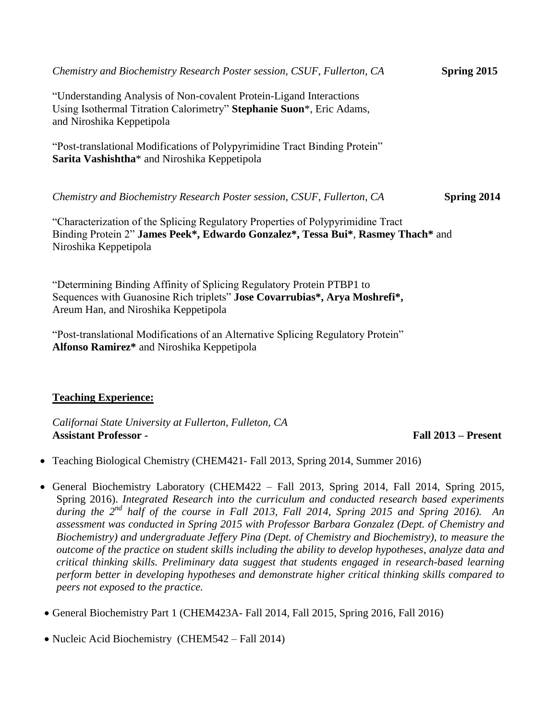| Chemistry and Biochemistry Research Poster session, CSUF, Fullerton, CA                                                                                                                      | Spring 2015        |
|----------------------------------------------------------------------------------------------------------------------------------------------------------------------------------------------|--------------------|
| "Understanding Analysis of Non-covalent Protein-Ligand Interactions"<br>Using Isothermal Titration Calorimetry" Stephanie Suon*, Eric Adams,<br>and Niroshika Keppetipola                    |                    |
| "Post-translational Modifications of Polypyrimidine Tract Binding Protein"<br>Sarita Vashishtha <sup>*</sup> and Niroshika Keppetipola                                                       |                    |
| Chemistry and Biochemistry Research Poster session, CSUF, Fullerton, CA                                                                                                                      | <b>Spring 2014</b> |
| "Characterization of the Splicing Regulatory Properties of Polypyrimidine Tract<br>Binding Protein 2" James Peek*, Edwardo Gonzalez*, Tessa Bui*, Rasmey Thach* and<br>Niroshika Keppetipola |                    |
| "Determining Binding Affinity of Splicing Regulatory Protein PTBP1 to                                                                                                                        |                    |

Sequences with Guanosine Rich triplets" **Jose Covarrubias\*, Arya Moshrefi\*,** Areum Han, and Niroshika Keppetipola

"Post-translational Modifications of an Alternative Splicing Regulatory Protein" **Alfonso Ramirez\*** and Niroshika Keppetipola

### **Teaching Experience:**

*Californai State University at Fullerton, Fulleton, CA* **Assistant Professor - Fall 2013 – Present**

- Teaching Biological Chemistry (CHEM421- Fall 2013, Spring 2014, Summer 2016)
- General Biochemistry Laboratory (CHEM422 Fall 2013, Spring 2014, Fall 2014, Spring 2015, Spring 2016). *Integrated Research into the curriculum and conducted research based experiments during the 2nd half of the course in Fall 2013, Fall 2014, Spring 2015 and Spring 2016). An assessment was conducted in Spring 2015 with Professor Barbara Gonzalez (Dept. of Chemistry and Biochemistry) and undergraduate Jeffery Pina (Dept. of Chemistry and Biochemistry), to measure the outcome of the practice on student skills including the ability to develop hypotheses, analyze data and critical thinking skills. Preliminary data suggest that students engaged in research-based learning perform better in developing hypotheses and demonstrate higher critical thinking skills compared to peers not exposed to the practice.*
- General Biochemistry Part 1 (CHEM423A- Fall 2014, Fall 2015, Spring 2016, Fall 2016)

• Nucleic Acid Biochemistry (CHEM542 – Fall 2014)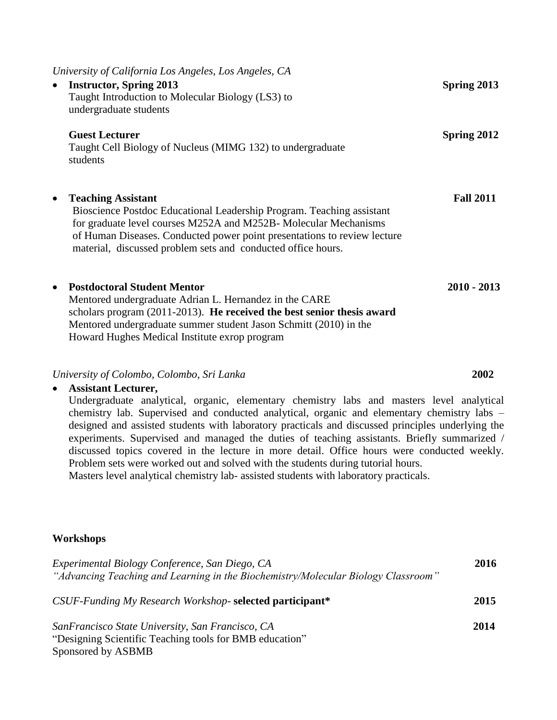| University of California Los Angeles, Los Angeles, CA<br><b>Instructor, Spring 2013</b><br>Taught Introduction to Molecular Biology (LS3) to<br>undergraduate students                                                                                                                                                          | Spring 2013      |
|---------------------------------------------------------------------------------------------------------------------------------------------------------------------------------------------------------------------------------------------------------------------------------------------------------------------------------|------------------|
| <b>Guest Lecturer</b><br>Taught Cell Biology of Nucleus (MIMG 132) to undergraduate<br>students                                                                                                                                                                                                                                 | Spring 2012      |
| <b>Teaching Assistant</b><br>$\bullet$<br>Bioscience Postdoc Educational Leadership Program. Teaching assistant<br>for graduate level courses M252A and M252B- Molecular Mechanisms<br>of Human Diseases. Conducted power point presentations to review lecture<br>material, discussed problem sets and conducted office hours. | <b>Fall 2011</b> |
| <b>Postdoctoral Student Mentor</b><br>$\bullet$<br>Mentored undergraduate Adrian L. Hernandez in the CARE<br>scholars program (2011-2013). He received the best senior thesis award<br>Mentored undergraduate summer student Jason Schmitt (2010) in the<br>Howard Hughes Medical Institute exrop program                       | $2010 - 2013$    |

#### *University of Colombo, Colombo, Sri Lanka* **2002**

### **Assistant Lecturer,**  Undergraduate analytical, organic, elementary chemistry labs and masters level analytical chemistry lab. Supervised and conducted analytical, organic and elementary chemistry labs – designed and assisted students with laboratory practicals and discussed principles underlying the experiments. Supervised and managed the duties of teaching assistants. Briefly summarized / discussed topics covered in the lecture in more detail. Office hours were conducted weekly. Problem sets were worked out and solved with the students during tutorial hours. Masters level analytical chemistry lab- assisted students with laboratory practicals.

#### **Workshops**

| Experimental Biology Conference, San Diego, CA                                    | 2016 |
|-----------------------------------------------------------------------------------|------|
| "Advancing Teaching and Learning in the Biochemistry/Molecular Biology Classroom" |      |
|                                                                                   |      |
| CSUF-Funding My Research Workshop-selected participant*                           | 2015 |
|                                                                                   |      |
| SanFrancisco State University, San Francisco, CA                                  | 2014 |
| "Designing Scientific Teaching tools for BMB education"                           |      |
| Sponsored by ASBMB                                                                |      |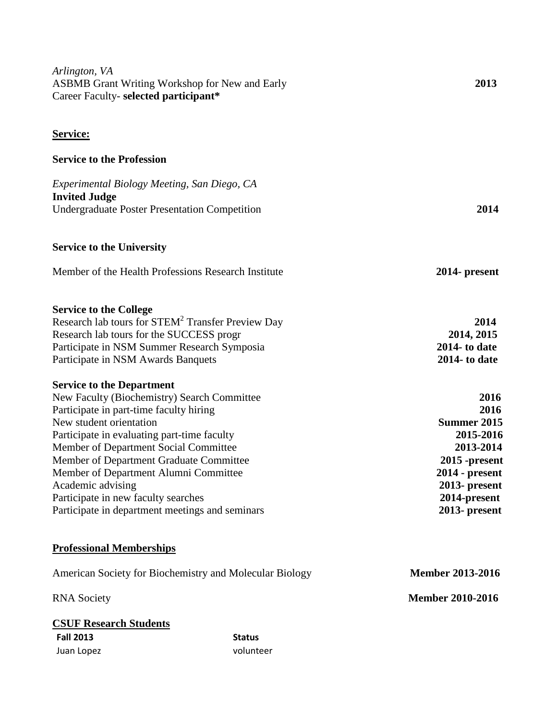| Arlington, VA<br><b>ASBMB Grant Writing Workshop for New and Early</b><br>Career Faculty- selected participant* |               | 2013                              |
|-----------------------------------------------------------------------------------------------------------------|---------------|-----------------------------------|
| <b>Service:</b>                                                                                                 |               |                                   |
| <b>Service to the Profession</b>                                                                                |               |                                   |
| Experimental Biology Meeting, San Diego, CA                                                                     |               |                                   |
| <b>Invited Judge</b><br><b>Undergraduate Poster Presentation Competition</b>                                    |               | 2014                              |
| <b>Service to the University</b>                                                                                |               |                                   |
| Member of the Health Professions Research Institute                                                             |               | 2014- present                     |
| <b>Service to the College</b>                                                                                   |               |                                   |
| Research lab tours for STEM <sup>2</sup> Transfer Preview Day<br>Research lab tours for the SUCCESS progr       |               | 2014<br>2014, 2015                |
| Participate in NSM Summer Research Symposia                                                                     |               | $2014$ - to date                  |
| Participate in NSM Awards Banquets                                                                              |               | $2014$ - to date                  |
| <b>Service to the Department</b>                                                                                |               |                                   |
| New Faculty (Biochemistry) Search Committee<br>Participate in part-time faculty hiring                          |               | 2016<br>2016                      |
| New student orientation                                                                                         |               | <b>Summer 2015</b>                |
| Participate in evaluating part-time faculty                                                                     |               | 2015-2016                         |
| Member of Department Social Committee                                                                           |               | 2013-2014                         |
| Member of Department Graduate Committee                                                                         |               | $2015$ -present                   |
| Member of Department Alumni Committee<br>Academic advising                                                      |               | $2014$ - present<br>2013- present |
| Participate in new faculty searches                                                                             |               | 2014-present                      |
| Participate in department meetings and seminars                                                                 |               | 2013- present                     |
| <b>Professional Memberships</b>                                                                                 |               |                                   |
| American Society for Biochemistry and Molecular Biology                                                         |               | <b>Member 2013-2016</b>           |
| <b>RNA</b> Society                                                                                              |               | <b>Member 2010-2016</b>           |
| <b>CSUF Research Students</b>                                                                                   |               |                                   |
| <b>Fall 2013</b>                                                                                                | <b>Status</b> |                                   |
| Juan Lopez                                                                                                      | volunteer     |                                   |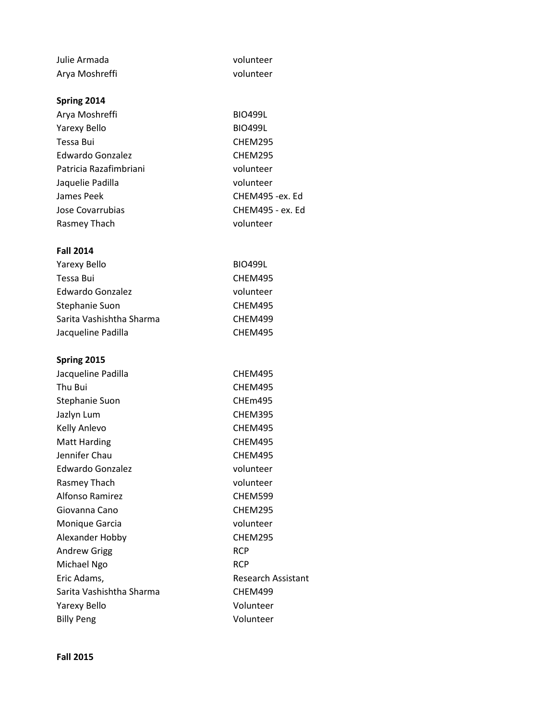| Julie Armada             | volunteer        |
|--------------------------|------------------|
| Arya Moshreffi           | volunteer        |
|                          |                  |
| Spring 2014              |                  |
| Arya Moshreffi           | <b>BIO499L</b>   |
| Yarexy Bello             | <b>BIO499L</b>   |
| Tessa Bui                | CHEM295          |
| Edwardo Gonzalez         | CHEM295          |
| Patricia Razafimbriani   | volunteer        |
| Jaquelie Padilla         | volunteer        |
| James Peek               | CHEM495 -ex. Ed  |
| Jose Covarrubias         | CHEM495 - ex. Ed |
| Rasmey Thach             | volunteer        |
|                          |                  |
| <b>Fall 2014</b>         |                  |
| <b>Yarexy Bello</b>      | <b>BIO499L</b>   |
| Tessa Bui                | CHEM495          |
| <b>Edwardo Gonzalez</b>  | volunteer        |
| Stephanie Suon           | CHEM495          |
| Sarita Vashishtha Sharma | CHEM499          |
| Jacqueline Padilla       | CHEM495          |

#### **Spring 2015**

| Jacqueline Padilla       | CHEM495                   |
|--------------------------|---------------------------|
| Thu Bui                  | CHEM495                   |
| <b>Stephanie Suon</b>    | CHEm495                   |
| Jazlyn Lum               | CHEM395                   |
| Kelly Anlevo             | CHEM495                   |
| <b>Matt Harding</b>      | CHEM495                   |
| Jennifer Chau            | CHEM495                   |
| Edwardo Gonzalez         | volunteer                 |
| Rasmey Thach             | volunteer                 |
| <b>Alfonso Ramirez</b>   | CHEM599                   |
| Giovanna Cano            | CHEM295                   |
| Monique Garcia           | volunteer                 |
| Alexander Hobby          | CHEM295                   |
| <b>Andrew Grigg</b>      | <b>RCP</b>                |
| Michael Ngo              | <b>RCP</b>                |
| Eric Adams,              | <b>Research Assistant</b> |
| Sarita Vashishtha Sharma | CHEM499                   |
| Yarexy Bello             | Volunteer                 |
| <b>Billy Peng</b>        | Volunteer                 |
|                          |                           |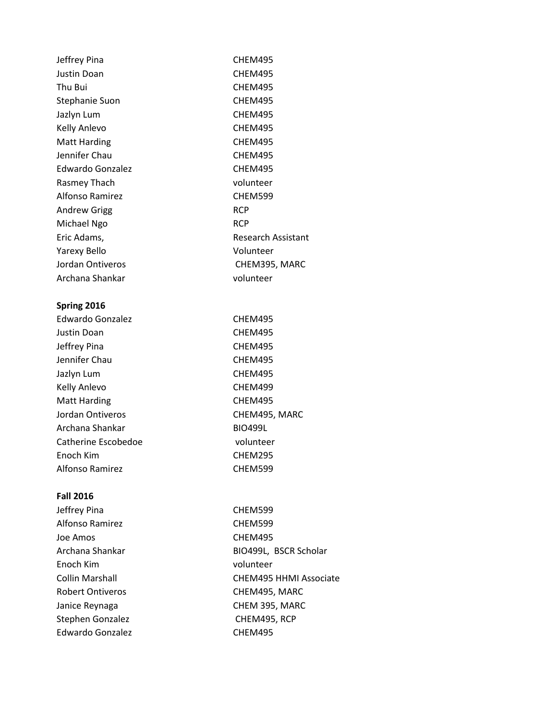| Jeffrey Pina        | CHEM495            |
|---------------------|--------------------|
| Justin Doan         | CHEM495            |
| Thu Bui             | CHEM495            |
| Stephanie Suon      | CHEM495            |
| Jazlyn Lum          | CHEM495            |
| Kelly Anlevo        | CHEM495            |
| <b>Matt Harding</b> | CHEM495            |
| Jennifer Chau       | CHEM495            |
| Edwardo Gonzalez    | CHEM495            |
| Rasmey Thach        | volunteer          |
| Alfonso Ramirez     | CHEM599            |
| <b>Andrew Grigg</b> | <b>RCP</b>         |
| Michael Ngo         | <b>RCP</b>         |
| Eric Adams,         | Research Assistant |
| <b>Yarexy Bello</b> | Volunteer          |
| Jordan Ontiveros    | CHEM395, MARC      |
| Archana Shankar     | volunteer          |
|                     |                    |

### **Spring 2016**

| Edwardo Gonzalez    | CHEM495        |
|---------------------|----------------|
| Justin Doan         | CHEM495        |
| Jeffrey Pina        | CHEM495        |
| Jennifer Chau       | CHEM495        |
| Jazlyn Lum          | CHEM495        |
| Kelly Anlevo        | CHEM499        |
| <b>Matt Harding</b> | CHEM495        |
| Jordan Ontiveros    | CHEM495, MARC  |
| Archana Shankar     | <b>BIO499L</b> |
| Catherine Escobedoe | volunteer      |
| Enoch Kim           | CHEM295        |
| Alfonso Ramirez     | CHEM599        |

### **Fall 2016**

| Jeffrey Pina            | CHEM599                       |
|-------------------------|-------------------------------|
| Alfonso Ramirez         | CHEM599                       |
| Joe Amos                | CHEM495                       |
| Archana Shankar         | BIO499L, BSCR Scholar         |
| Enoch Kim               | volunteer                     |
| Collin Marshall         | <b>CHEM495 HHMI Associate</b> |
| <b>Robert Ontiveros</b> | CHEM495, MARC                 |
| Janice Reynaga          | CHEM 395, MARC                |
| Stephen Gonzalez        | CHEM495, RCP                  |
| <b>Edwardo Gonzalez</b> | CHEM495                       |